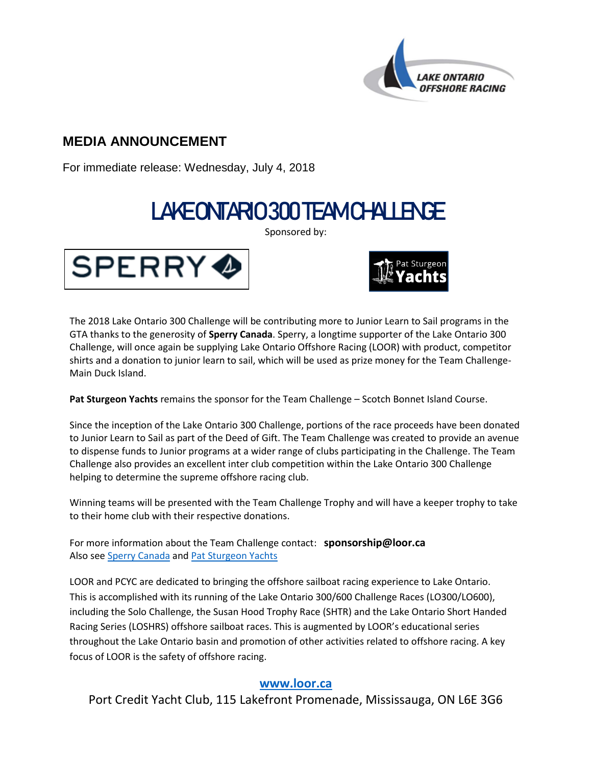

## **MEDIA ANNOUNCEMENT**

For immediate release: Wednesday, July 4, 2018

# LAKE ONTARIO 300 TEAM CHALLENGE

Sponsored by:





The 2018 Lake Ontario 300 Challenge will be contributing more to Junior Learn to Sail programs in the GTA thanks to the generosity of **Sperry Canada**. Sperry, a longtime supporter of the Lake Ontario 300 Challenge, will once again be supplying Lake Ontario Offshore Racing (LOOR) with product, competitor shirts and a donation to junior learn to sail, which will be used as prize money for the Team Challenge-Main Duck Island.

**Pat Sturgeon Yachts** remains the sponsor for the Team Challenge – Scotch Bonnet Island Course.

Since the inception of the Lake Ontario 300 Challenge, portions of the race proceeds have been donated to Junior Learn to Sail as part of the Deed of Gift. The Team Challenge was created to provide an avenue to dispense funds to Junior programs at a wider range of clubs participating in the Challenge. The Team Challenge also provides an excellent inter club competition within the Lake Ontario 300 Challenge helping to determine the supreme offshore racing club.

Winning teams will be presented with the Team Challenge Trophy and will have a keeper trophy to take to their home club with their respective donations.

For more information about the Team Challenge contact: **sponsorship@loor.ca** Also see [Sperry Canada](https://www.sperry.com/CA/en_CA/home?CID=PPC-SPER-Search_Brand_Phrase_Sperry-CA_G_Core+Terms_Eng_CA&gclid=CLmT7Ovx-NsCFQWuZQod2_MM5Q&gclsrc=ds) an[d Pat Sturgeon Yachts](http://www.patsturgeonyachts.com/)

LOOR and PCYC are dedicated to bringing the offshore sailboat racing experience to Lake Ontario. This is accomplished with its running of the Lake Ontario 300/600 Challenge Races (LO300/LO600), including the Solo Challenge, the Susan Hood Trophy Race (SHTR) and the Lake Ontario Short Handed Racing Series (LOSHRS) offshore sailboat races. This is augmented by LOOR's educational series throughout the Lake Ontario basin and promotion of other activities related to offshore racing. A key focus of LOOR is the safety of offshore racing.

### **[www.loor.ca](file:///C:/User/AppData/Local/Microsoft/Windows/Temporary%20Internet%20Files/Content.IE5/LPBV5RDO/www.loor.ca)**

Port Credit Yacht Club, 115 Lakefront Promenade, Mississauga, ON L6E 3G6